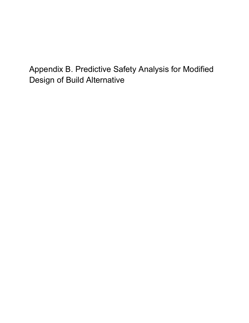Appendix B. Predictive Safety Analysis for Modified Design of Build Alternative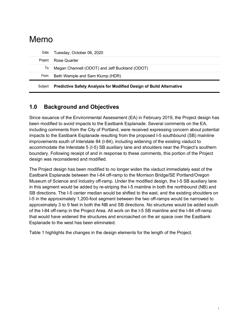# Memo

| Subiect: | Predictive Safety Analysis for Modified Design of Build Alternative |
|----------|---------------------------------------------------------------------|
| From:    | Beth Wemple and Sam Klump (HDR)                                     |
|          | To: Megan Channell (ODOT) and Jeff Buckland (ODOT)                  |
|          | Project: Rose Quarter                                               |
|          | Date: Tuesday, October 06, 2020                                     |

## **1.0 Background and Objectives**

Since issuance of the Environmental Assessment (EA) in February 2019, the Project design has been modified to avoid impacts to the Eastbank Esplanade. Several comments on the EA, including comments from the City of Portland, were received expressing concern about potential impacts to the Eastbank Esplanade resulting from the proposed I-5 southbound (SB) mainline improvements south of Interstate 84 (I-84), including widening of the existing viaduct to accommodate the Interstate 5 (I-5) SB auxiliary lane and shoulders near the Project's southern boundary. Following receipt of and in response to these comments, this portion of the Project design was reconsidered and modified.

The Project design has been modified to no longer widen the viaduct immediately east of the Eastbank Esplanade between the I-84 off-ramp to the Morrison Bridge/SE Portland/Oregon Museum of Science and Industry off-ramp. Under the modified design, the I-5 SB auxiliary lane in this segment would be added by re-striping the I-5 mainline in both the northbound (NB) and SB directions. The I-5 center median would be shifted to the east, and the existing shoulders on I-5 in the approximately 1,200-foot segment between the two off-ramps would be narrowed to approximately 3 to 9 feet in both the NB and SB directions. No structures would be added south of the I-84 off-ramp in the Project Area. All work on the I-5 SB mainline and the I-84 off-ramp that would have widened the structures and encroached on the air space over the Eastbank Esplanade to the west has been eliminated.

Table 1 highlights the changes in the design elements for the length of the Project.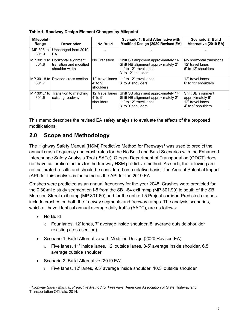| <b>Milepoint</b><br>Range | <b>Description</b>                                                            | <b>No Build</b>                                    | Scenario 1: Build Alternative with<br>Modified Design (2020 Revised EA)                                                       | Scenario 2: Build<br>Alternative (2019 EA)                                       |
|---------------------------|-------------------------------------------------------------------------------|----------------------------------------------------|-------------------------------------------------------------------------------------------------------------------------------|----------------------------------------------------------------------------------|
| MP 303 to<br>301.9        | Unchanged from 2019<br>EA                                                     |                                                    |                                                                                                                               |                                                                                  |
| 301.8                     | MP 301.9 to Horizontal alignment<br>transition and modified<br>shoulder width | No Transition                                      | Shift SB alignment approximately 14'<br>Shift NB alignment approximately 2'<br>11' to 12' travel lanes<br>3' to 12' shoulders | No horizontal transitions<br>12' travel lanes<br>6' to 12' shoulders             |
| 301.7                     | MP 301.8 to Revised cross section                                             | 12' travel lanes<br>4' to 9'<br><b>I</b> shoulders | 11' to 12' travel lanes<br>3' to 9' shoulders                                                                                 | 12' travel lanes<br>6' to 12' shoulders                                          |
| 301.6                     | MP 301.7 to Transition to matching<br>existing roadway                        | 12' travel lanes<br>$4'$ to 9'<br>shoulders        | Shift SB alignment approximately 14'<br>Shift NB alignment approximately 2'<br>11' to 12' travel lanes<br>3' to 9' shoulders  | Shift SB alignment<br>approximately 6'<br>12' travel lanes<br>4' to 9' shoulders |

**Table 1. Roadway Design Element Changes by Milepoint**

This memo describes the revised EA safety analysis to evaluate the effects of the proposed modifications.

## **2.0 Scope and Methodology**

The Highway Safety Manual (HSM) Predictive Method for Freeways<sup>1</sup> was used to predict the annual crash frequency and crash rates for the No Build and Build Scenarios with the Enhanced Interchange Safety Analysis Tool (ISATe). Oregon Department of Transportation (ODOT) does not have calibration factors for the freeway HSM predictive method. As such, the following are not calibrated results and should be considered on a relative basis. The Area of Potential Impact (API) for this analysis is the same as the API for the 2019 EA.

Crashes were predicted as an annual frequency for the year 2045. Crashes were predicted for the 0.30-mile study segment on I-5 from the SB I-84 exit ramp (MP 301.90) to south of the SB Morrison Street exit ramp (MP 301.60) and for the entire I-5 Project corridor. Predicted crashes include crashes on both the freeway segments and freeway ramps. The analysis scenarios, which all have identical annual average daily traffic (AADT), are as follows:

- No Build
	- o Four lanes, 12' lanes, 7' average inside shoulder, 8' average outside shoulder (existing cross-section)
- Scenario 1: Build Alternative with Modified Design (2020 Revised EA)
	- o Five lanes, 11' inside lanes, 12' outside lanes, 3-5' average inside shoulder, 6.5' average outside shoulder
- Scenario 2: Build Alternative (2019 EA)
	- o Five lanes, 12' lanes, 9.5' average inside shoulder, 10.5' outside shoulder

<span id="page-2-0"></span><sup>1</sup> *Highway Safety Manual, Predictive Method for Freeways.* American Association of State Highway and Transportation Officials. 2014.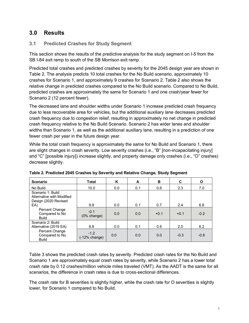## **3.0 Results**

#### <span id="page-3-1"></span>**3.1 Predicted Crashes for Study Segment**

This section shows the results of the predictive analysis for the study segment on I-5 from the SB I-84 exit ramp to south of the SB Morrison exit ramp.

Predicted total crashes and predicted crashes by severity for the 2045 design year are shown in [Table 2.](#page-3-0) The analysis predicts 10 total crashes for the No Build scenario, approximately 10 crashes for Scenario 1, and approximately 9 crashes for Scenario 2. Table 2 also shows the relative change in predicted crashes compared to the No Build scenario. Compared to No Build, predicted crashes are approximately the same for Scenario 1 and one crash/year fewer for Scenario 2 (12 percent fewer).

The decreased lane and shoulder widths under Scenario 1 increase predicted crash frequency due to less recoverable area for vehicles, but the additional auxiliary lane decreases predicted crash frequency due to congestion relief, resulting in approximately no net change in predicted crash frequency relative to the No Build Scenario. Scenario 2 has wider lanes and shoulder widths than Scenario 1, as well as the additional auxiliary lane, resulting in a prediction of one fewer crash per year in the future design year.

While the total crash frequency is approximately the same for No Build and Scenario 1, there are slight changes in crash severity. Low severity crashes (i.e., "B" [non-incapacitating injury] and "C" [possible injury]) increase slightly, and property damage only crashes (i.e., "O" crashes) decrease slightly.

| <b>Scenario</b>                                                        | Total                             | ĸ   | A   | B      | C      | O      |
|------------------------------------------------------------------------|-----------------------------------|-----|-----|--------|--------|--------|
| No Build                                                               | 10.0                              | 0.0 | 0.1 | 0.6    | 2.3    | 7.0    |
| Scenario 1: Build<br>Alternative with Modified<br>Design (2020 Revised |                                   |     |     |        |        |        |
| EA)                                                                    | 9.9                               | 0.0 | 0.1 | 0.7    | 2.4    | 6.8    |
| Percent Change<br>Compared to No<br><b>Build</b>                       | $-0.1$<br>(0% change)             | 0.0 | 0.0 | $+0.1$ | $+0.1$ | $-0.2$ |
| Scenario 2: Build<br>Alternative (2019 EA)                             | 8.8                               | 0.0 | 0.1 | 0.6    | 2.0    | 6.2    |
| Percent Change<br>Compared to No<br><b>Build</b>                       | $-1.2$<br>$(-12% \text{ change})$ | 0.0 | 0.0 | 0.0    | $-0.3$ | $-0.8$ |

<span id="page-3-0"></span>**Table 2. Predicted 2045 Crashes by Severity and Relative Change, Study Segment**

[Table 3](#page-4-0) shows the predicted crash rates by severity. Predicted crash rates for the No Build and Scenario 1 are approximately equal crash rates by severity, while Scenario 2 has a lower total crash rate by 0.12 crashes/million vehicle miles traveled (VMT). As the AADT is the same for all scenarios, the difference in crash rates is due to cross-sectional differences.

The crash rate for B severities is slightly higher, while the crash rate for O severities is slightly lower, for Scenario 1 compared to No Build.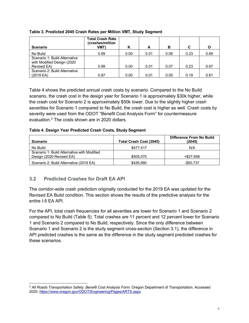| <b>Scenario</b>                                             | <b>Total Crash Rate</b><br>(crashes/million<br>VMT) | κ    | A    | в    | C    |      |
|-------------------------------------------------------------|-----------------------------------------------------|------|------|------|------|------|
| No Build                                                    | 0.99                                                | 0.00 | 0.01 | 0.06 | 0.23 | 0.69 |
| Scenario 1: Build Alternative<br>with Modified Design (2020 |                                                     |      |      |      |      |      |
| Revised EA)                                                 | 0.99                                                | 0.00 | 0.01 | 0.07 | 0.23 | 0.67 |
| Scenario 2: Build Alternative<br>$(2019)$ EA)               | 0.87                                                | 0.00 | 0.01 | 0.05 | 0.19 | 0.61 |

#### <span id="page-4-0"></span>**Table 3. Predicted 2045 Crash Rates per Million VMT, Study Segment**

[Table 4](#page-4-1) shows the predicted annual crash costs by scenario. Compared to the No Build scenario, the crash cost in the design year for Scenario 1 is approximately \$30k higher, while the crash cost for Scenario 2 is approximately \$50k lower. Due to the slightly higher crash severities for Scenario 1 compared to No Build, the crash cost is higher as well. Crash costs by severity were used from the ODOT "Benefit Cost Analysis Form" for countermeasure evaluation.[2](#page-4-2) The costs shown are in 2020 dollars.

#### <span id="page-4-1"></span>**Table 4. Design Year Predicted Crash Costs, Study Segment**

| <b>Scenario</b>                                                         | Total Crash Cost (2045) | Difference From No Build<br>(2045) |
|-------------------------------------------------------------------------|-------------------------|------------------------------------|
| No Build                                                                | \$477.417               | N/A                                |
| Scenario 1: Build Alternative with Modified<br>Design (2020 Revised EA) | \$505.075               | +\$27.658                          |
| Scenario 2: Build Alternative (2019 EA)                                 | \$426.680               | -\$50.737                          |

### **3.2 Predicted Crashes for Draft EA API**

The corridor-wide crash prediction originally conducted for the 2019 EA was updated for the Revised EA Build condition. This section shows the results of the predictive analysis for the entire I-5 EA API.

For the API, total crash frequencies for all severities are lower for Scenario 1 and Scenario 2 compared to No Build [\(Table 5\)](#page-5-0). Total crashes are 11 percent and 12 percent lower for Scenario 1 and Scenario 2 compared to No Build, respectively. Since the only difference between Scenario 1 and Scenario 2 is the study segment cross-section (Section [3.1\)](#page-3-1), the difference in API predicted crashes is the same as the difference in the study segment predicted crashes for these scenarios.

<span id="page-4-2"></span><sup>&</sup>lt;sup>2</sup> All Roads Transportation Safety. Benefit Cost Analysis Form. Oregon Department of Transportation. Accessed 2020.<https://www.oregon.gov/ODOT/Engineering/Pages/ARTS.aspx>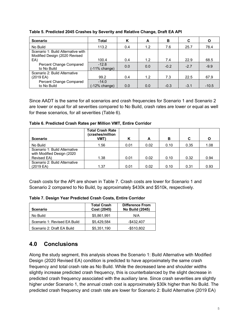| <b>Scenario</b>                                                     | Total                      | Κ   | A   | в      | C      | O       |
|---------------------------------------------------------------------|----------------------------|-----|-----|--------|--------|---------|
| No Build                                                            | 113.2                      | 0.4 | 1.2 | 7.6    | 25.7   | 78.4    |
| Scenario 1: Build Alternative with<br>Modified Design (2020 Revised |                            |     |     |        |        |         |
| EA                                                                  | 100.4                      | 0.4 | 1.2 | 7.4    | 22.9   | 68.5    |
| Percent Change Compared<br>to No Build                              | $-12.8$<br>$(-11%$ change) | 0.0 | 0.0 | $-0.2$ | $-2.7$ | $-9.9$  |
| Scenario 2: Build Alternative<br>(2019 EA)                          | 99.2                       | 0.4 | 1.2 | 7.3    | 22.5   | 67.9    |
| Percent Change Compared<br>to No Build                              | $-14.0$<br>(-12% change)   | 0.0 | 0.0 | $-0.3$ | $-3.1$ | $-10.5$ |

<span id="page-5-0"></span>**Table 5. Predicted 2045 Crashes by Severity and Relative Change, Draft EA API**

Since AADT is the same for all scenarios and crash frequencies for Scenario 1 and Scenario 2 are lower or equal for all severities compared to No Build, crash rates are lower or equal as well for these scenarios, for all severities [\(Table 6\)](#page-5-1).

<span id="page-5-1"></span>**Table 6. Predicted Crash Rates per Million VMT, Entire Corridor**

| <b>Scenario</b>                                                            | <b>Total Crash Rate</b><br>(crashes/million<br>VMT' | κ    | A    | в    | C    | O    |
|----------------------------------------------------------------------------|-----------------------------------------------------|------|------|------|------|------|
| No Build                                                                   | 1.56                                                | 0.01 | 0.02 | 0.10 | 0.35 | 1.08 |
| Scenario 1: Build Alternative<br>with Modified Design (2020<br>Revised EA) | 1.38                                                | 0.01 | 0.02 | 0.10 | 0.32 | 0.94 |
| Scenario 2: Build Alternative                                              |                                                     |      |      |      |      |      |
| (2019 EA)                                                                  | 1.37                                                | 0.01 | 0.02 | 0.10 | 0.31 | 0.93 |

Crash costs for the API are shown in [Table 7.](#page-5-2) Crash costs are lower for Scenario 1 and Scenario 2 compared to No Build, by approximately \$430k and \$510k, respectively.

<span id="page-5-2"></span>**Table 7. Design Year Predicted Crash Costs, Entire Corridor**

| <b>Scenario</b>              | <b>Total Crash</b><br>Cost (2045) | <b>Difference From</b><br><b>No Build (2045)</b> |
|------------------------------|-----------------------------------|--------------------------------------------------|
| No Build                     | \$5,861,991                       | N/A                                              |
| Scenario 1: Revised EA Build | \$5.429.584                       | $-$ \$432.407                                    |
| Scenario 2: Draft EA Build   | \$5,351,190                       | $-$ \$510.802                                    |

## **4.0 Conclusions**

Along the study segment, this analysis shows the Scenario 1: Build Alternative with Modified Design (2020 Revised EA) condition is predicted to have approximately the same crash frequency and total crash rate as No Build. While the decreased lane and shoulder widths slightly increase predicted crash frequency, this is counterbalanced by the slight decrease in predicted crash frequency associated with the auxiliary lane. Since crash severities are slightly higher under Scenario 1, the annual crash cost is approximately \$30k higher than No Build. The predicted crash frequency and crash rate are lower for Scenario 2: Build Alternative (2019 EA)